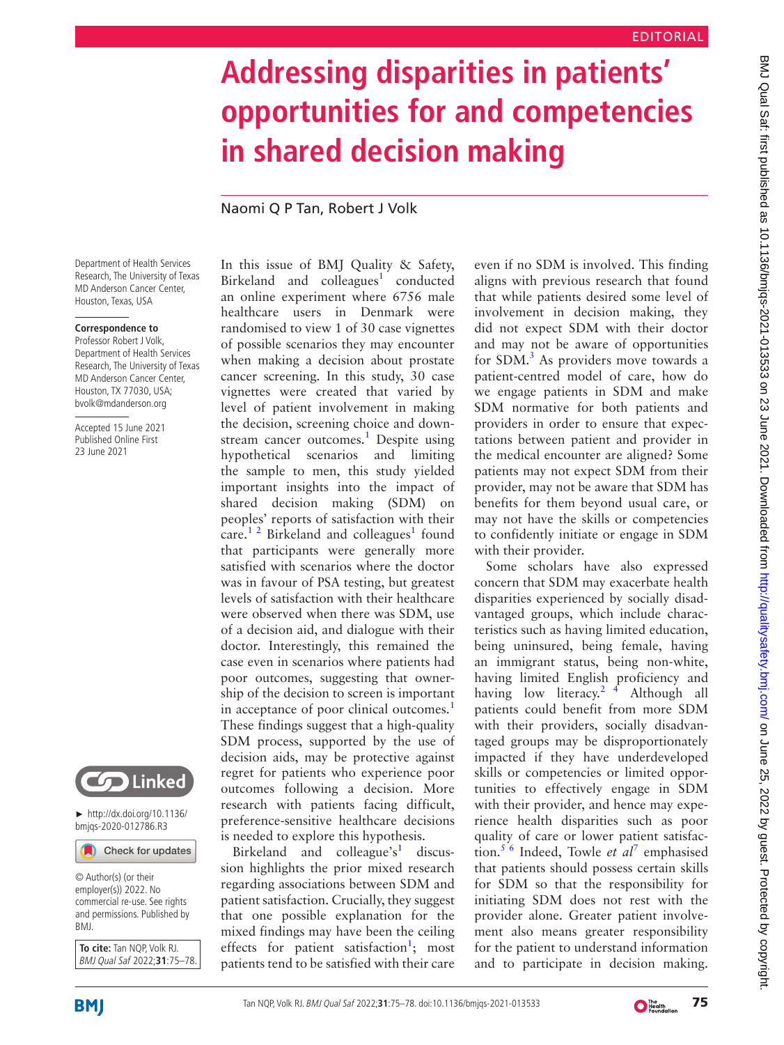## **Addressing disparities in patients' opportunities for and competencies in shared decision making**

Naomi Q P Tan, Robert J Volk

Department of Health Services Research, The University of Texas MD Anderson Cancer Center, Houston, Texas, USA

## **Correspondence to**

Professor Robert J Volk, Department of Health Services Research, The University of Texas MD Anderson Cancer Center, Houston, TX 77030, USA; bvolk@mdanderson.org

Accepted 15 June 2021 Published Online First 23 June 2021



► [http://dx.doi.org/10.1136/](http://​dx.​doi.​org/​10.​1136/bmjqs-2020-012786.R3) [bmjqs-2020-012786.R3](http://​dx.​doi.​org/​10.​1136/bmjqs-2020-012786.R3)

Check for updates

© Author(s) (or their employer(s)) 2022. No commercial re-use. See rights and permissions. Published by BMJ.

**To cite:** Tan NQP, Volk RJ. BMJ Qual Saf 2022;**31**:75–78.

In this issue of BMJ Quality & Safety, Birkeland and colleagues<sup>[1](#page-2-0)</sup> conducted an online experiment where 6756 male healthcare users in Denmark were randomised to view 1 of 30 case vignettes of possible scenarios they may encounter when making a decision about prostate cancer screening. In this study, 30 case vignettes were created that varied by level of patient involvement in making the decision, screening choice and downstream cancer outcomes.<sup>1</sup> Despite using hypothetical scenarios and limiting the sample to men, this study yielded important insights into the impact of shared decision making (SDM) on peoples' reports of satisfaction with their care.<sup>12</sup> Birkeland and colleagues<sup>1</sup> found that participants were generally more satisfied with scenarios where the doctor was in favour of PSA testing, but greatest levels of satisfaction with their healthcare were observed when there was SDM, use of a decision aid, and dialogue with their doctor. Interestingly, this remained the case even in scenarios where patients had poor outcomes, suggesting that ownership of the decision to screen is important in acceptance of poor clinical outcomes.<sup>[1](#page-2-0)</sup> These findings suggest that a high-quality SDM process, supported by the use of decision aids, may be protective against regret for patients who experience poor outcomes following a decision. More research with patients facing difficult, preference-sensitive healthcare decisions is needed to explore this hypothesis.

Birkeland and colleague's<sup>1</sup> discussion highlights the prior mixed research regarding associations between SDM and patient satisfaction. Crucially, they suggest that one possible explanation for the mixed findings may have been the ceiling effects for patient satisfaction<sup>[1](#page-2-0)</sup>; most patients tend to be satisfied with their care

even if no SDM is involved. This finding aligns with previous research that found that while patients desired some level of involvement in decision making, they did not expect SDM with their doctor and may not be aware of opportunities for SDM.<sup>[3](#page-2-1)</sup> As providers move towards a patient-centred model of care, how do we engage patients in SDM and make SDM normative for both patients and providers in order to ensure that expectations between patient and provider in the medical encounter are aligned? Some patients may not expect SDM from their provider, may not be aware that SDM has benefits for them beyond usual care, or may not have the skills or competencies to confidently initiate or engage in SDM with their provider.

Some scholars have also expressed concern that SDM may exacerbate health disparities experienced by socially disadvantaged groups, which include characteristics such as having limited education, being uninsured, being female, having an immigrant status, being non-white, having limited English proficiency and having low literacy.<sup>2 4</sup> Although all patients could benefit from more SDM with their providers, socially disadvantaged groups may be disproportionately impacted if they have underdeveloped skills or competencies or limited opportunities to effectively engage in SDM with their provider, and hence may experience health disparities such as poor quality of care or lower patient satisfaction.[5 6](#page-2-3) Indeed, Towle *et al*[7](#page-2-4) emphasised that patients should possess certain skills for SDM so that the responsibility for initiating SDM does not rest with the provider alone. Greater patient involvement also means greater responsibility for the patient to understand information and to participate in decision making.



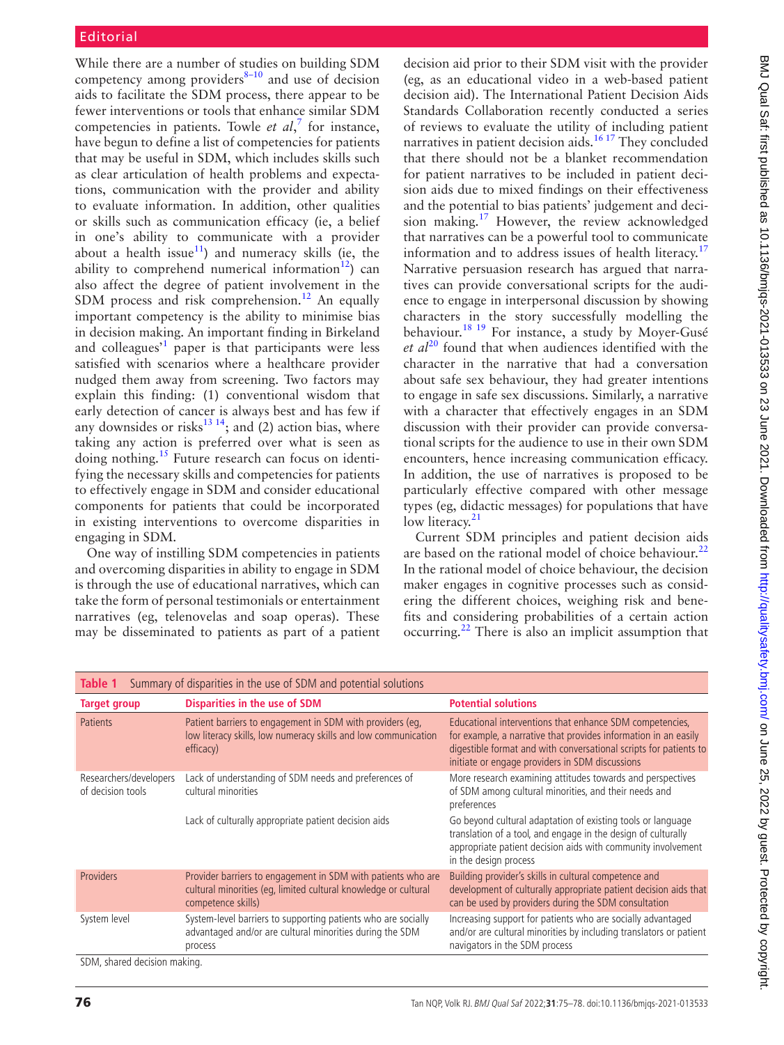While there are a number of studies on building SDM competency among providers $8-10$  and use of decision aids to facilitate the SDM process, there appear to be fewer interventions or tools that enhance similar SDM competencies in patients. Towle *et al*, [7](#page-2-4) for instance, have begun to define a list of competencies for patients that may be useful in SDM, which includes skills such as clear articulation of health problems and expectations, communication with the provider and ability to evaluate information. In addition, other qualities or skills such as communication efficacy (ie, a belief in one's ability to communicate with a provider about a health issue<sup>11</sup>) and numeracy skills (ie, the ability to comprehend numerical information<sup>12</sup>) can also affect the degree of patient involvement in the SDM process and risk comprehension.<sup>12</sup> An equally important competency is the ability to minimise bias in decision making. An important finding in Birkeland and colleagues<sup>[1](#page-2-0)</sup> paper is that participants were less satisfied with scenarios where a healthcare provider nudged them away from screening. Two factors may explain this finding: (1) conventional wisdom that early detection of cancer is always best and has few if any downsides or risks<sup>13 14</sup>; and (2) action bias, where taking any action is preferred over what is seen as doing nothing.[15](#page-2-9) Future research can focus on identifying the necessary skills and competencies for patients to effectively engage in SDM and consider educational components for patients that could be incorporated in existing interventions to overcome disparities in engaging in SDM.

One way of instilling SDM competencies in patients and overcoming disparities in ability to engage in SDM is through the use of educational narratives, which can take the form of personal testimonials or entertainment narratives (eg, telenovelas and soap operas). These may be disseminated to patients as part of a patient

decision aid prior to their SDM visit with the provider (eg, as an educational video in a web-based patient decision aid). The International Patient Decision Aids Standards Collaboration recently conducted a series of reviews to evaluate the utility of including patient narratives in patient decision aids.<sup>16 17</sup> They concluded that there should not be a blanket recommendation for patient narratives to be included in patient decision aids due to mixed findings on their effectiveness and the potential to bias patients' judgement and decision making[.17](#page-2-11) However, the review acknowledged that narratives can be a powerful tool to communicate information and to address issues of health literacy.<sup>[17](#page-2-11)</sup> Narrative persuasion research has argued that narratives can provide conversational scripts for the audience to engage in interpersonal discussion by showing characters in the story successfully modelling the behaviour.[18 19](#page-2-12) For instance, a study by Moyer-Gusé et al<sup>[20](#page-3-0)</sup> found that when audiences identified with the character in the narrative that had a conversation about safe sex behaviour, they had greater intentions to engage in safe sex discussions. Similarly, a narrative with a character that effectively engages in an SDM discussion with their provider can provide conversational scripts for the audience to use in their own SDM encounters, hence increasing communication efficacy. In addition, the use of narratives is proposed to be particularly effective compared with other message types (eg, didactic messages) for populations that have low literacy. $21$ 

Current SDM principles and patient decision aids are based on the rational model of choice behaviour. $^{22}$  $^{22}$  $^{22}$ In the rational model of choice behaviour, the decision maker engages in cognitive processes such as considering the different choices, weighing risk and benefits and considering probabilities of a certain action occurring.[22](#page-3-2) There is also an implicit assumption that

<span id="page-1-0"></span>

| Summary of disparities in the use of SDM and potential solutions<br>Table 1 |                                                                                                                                                       |                                                                                                                                                                                                                                                     |
|-----------------------------------------------------------------------------|-------------------------------------------------------------------------------------------------------------------------------------------------------|-----------------------------------------------------------------------------------------------------------------------------------------------------------------------------------------------------------------------------------------------------|
| <b>Target group</b>                                                         | <b>Disparities in the use of SDM</b>                                                                                                                  | <b>Potential solutions</b>                                                                                                                                                                                                                          |
| <b>Patients</b>                                                             | Patient barriers to engagement in SDM with providers (eg.<br>low literacy skills, low numeracy skills and low communication<br>efficacy)              | Educational interventions that enhance SDM competencies,<br>for example, a narrative that provides information in an easily<br>digestible format and with conversational scripts for patients to<br>initiate or engage providers in SDM discussions |
| Researchers/developers<br>of decision tools                                 | Lack of understanding of SDM needs and preferences of<br>cultural minorities                                                                          | More research examining attitudes towards and perspectives<br>of SDM among cultural minorities, and their needs and<br>preferences                                                                                                                  |
|                                                                             | Lack of culturally appropriate patient decision aids                                                                                                  | Go beyond cultural adaptation of existing tools or language<br>translation of a tool, and engage in the design of culturally<br>appropriate patient decision aids with community involvement<br>in the design process                               |
| Providers                                                                   | Provider barriers to engagement in SDM with patients who are<br>cultural minorities (eq. limited cultural knowledge or cultural<br>competence skills) | Building provider's skills in cultural competence and<br>development of culturally appropriate patient decision aids that<br>can be used by providers during the SDM consultation                                                                   |
| System level                                                                | System-level barriers to supporting patients who are socially<br>advantaged and/or are cultural minorities during the SDM<br>process                  | Increasing support for patients who are socially advantaged<br>and/or are cultural minorities by including translators or patient<br>navigators in the SDM process                                                                                  |
| SDM, shared decision making.                                                |                                                                                                                                                       |                                                                                                                                                                                                                                                     |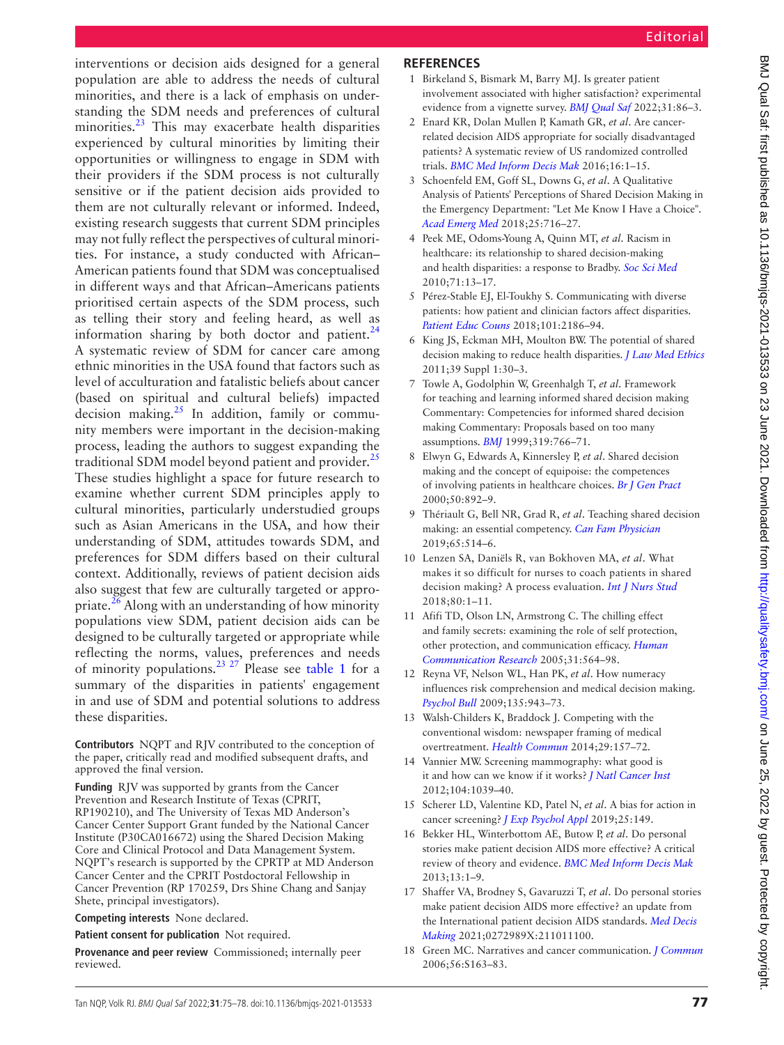interventions or decision aids designed for a general population are able to address the needs of cultural minorities, and there is a lack of emphasis on understanding the SDM needs and preferences of cultural minorities.<sup>[23](#page-3-3)</sup> This may exacerbate health disparities experienced by cultural minorities by limiting their opportunities or willingness to engage in SDM with their providers if the SDM process is not culturally sensitive or if the patient decision aids provided to them are not culturally relevant or informed. Indeed, existing research suggests that current SDM principles may not fully reflect the perspectives of cultural minorities. For instance, a study conducted with African– American patients found that SDM was conceptualised in different ways and that African–Americans patients prioritised certain aspects of the SDM process, such as telling their story and feeling heard, as well as information sharing by both doctor and patient. $24$ A systematic review of SDM for cancer care among ethnic minorities in the USA found that factors such as level of acculturation and fatalistic beliefs about cancer (based on spiritual and cultural beliefs) impacted decision making. $^{25}$  In addition, family or community members were important in the decision-making process, leading the authors to suggest expanding the traditional SDM model beyond patient and provider.<sup>[25](#page-3-5)</sup> These studies highlight a space for future research to examine whether current SDM principles apply to cultural minorities, particularly understudied groups such as Asian Americans in the USA, and how their understanding of SDM, attitudes towards SDM, and preferences for SDM differs based on their cultural context. Additionally, reviews of patient decision aids also suggest that few are culturally targeted or appropriate.<sup>26</sup> Along with an understanding of how minority populations view SDM, patient decision aids can be designed to be culturally targeted or appropriate while reflecting the norms, values, preferences and needs of minority populations.<sup>23</sup> <sup>27</sup> Please see [table](#page-1-0) 1 for a summary of the disparities in patients' engagement in and use of SDM and potential solutions to address these disparities.

**Contributors** NQPT and RJV contributed to the conception of the paper, critically read and modified subsequent drafts, and approved the final version.

**Funding** RJV was supported by grants from the Cancer Prevention and Research Institute of Texas (CPRIT, RP190210), and The University of Texas MD Anderson's Cancer Center Support Grant funded by the National Cancer Institute (P30CA016672) using the Shared Decision Making Core and Clinical Protocol and Data Management System. NQPT's research is supported by the CPRTP at MD Anderson Cancer Center and the CPRIT Postdoctoral Fellowship in Cancer Prevention (RP 170259, Drs Shine Chang and Sanjay Shete, principal investigators).

**Competing interests** None declared.

**Patient consent for publication** Not required.

**Provenance and peer review** Commissioned; internally peer reviewed.

## **REFERENCES**

- <span id="page-2-0"></span>1 Birkeland S, Bismark M, Barry MJ. Is greater patient involvement associated with higher satisfaction? experimental evidence from a vignette survey. *[BMJ Qual Saf](http://dx.doi.org/10.1136/bmjqs-2020-012786)* 2022;31:86–3.
- <span id="page-2-2"></span>2 Enard KR, Dolan Mullen P, Kamath GR, *et al*. Are cancerrelated decision AIDS appropriate for socially disadvantaged patients? A systematic review of US randomized controlled trials. *[BMC Med Inform Decis Mak](http://dx.doi.org/10.1186/s12911-016-0303-6)* 2016;16:1–15.
- <span id="page-2-1"></span>3 Schoenfeld EM, Goff SL, Downs G, *et al*. A Qualitative Analysis of Patients' Perceptions of Shared Decision Making in the Emergency Department: "Let Me Know I Have a Choice". *[Acad Emerg Med](http://dx.doi.org/10.1111/acem.13416)* 2018;25:716–27.
- 4 Peek ME, Odoms-Young A, Quinn MT, *et al*. Racism in healthcare: its relationship to shared decision-making and health disparities: a response to Bradby. *[Soc Sci Med](http://dx.doi.org/10.1016/j.socscimed.2010.03.018)* 2010;71:13–17.
- <span id="page-2-3"></span>5 Pérez-Stable EJ, El-Toukhy S. Communicating with diverse patients: how patient and clinician factors affect disparities. *[Patient Educ Couns](http://dx.doi.org/10.1016/j.pec.2018.08.021)* 2018;101:2186–94.
- 6 King JS, Eckman MH, Moulton BW. The potential of shared decision making to reduce health disparities. *[J Law Med Ethics](http://dx.doi.org/10.1111/j.1748-720X.2011.00561.x)* 2011;39 Suppl 1:30–3.
- <span id="page-2-4"></span>7 Towle A, Godolphin W, Greenhalgh T, *et al*. Framework for teaching and learning informed shared decision making Commentary: Competencies for informed shared decision making Commentary: Proposals based on too many assumptions. *[BMJ](http://dx.doi.org/10.1136/bmj.319.7212.766)* 1999;319:766–71.
- <span id="page-2-5"></span>8 Elwyn G, Edwards A, Kinnersley P, *et al*. Shared decision making and the concept of equipoise: the competences of involving patients in healthcare choices. *[Br J Gen Pract](http://www.ncbi.nlm.nih.gov/pubmed/11141876)* 2000;50:892–9.
- 9 Thériault G, Bell NR, Grad R, *et al*. Teaching shared decision making: an essential competency. *[Can Fam Physician](http://www.ncbi.nlm.nih.gov/pubmed/31300437)* 2019;65:514–6.
- 10 Lenzen SA, Daniëls R, van Bokhoven MA, *et al*. What makes it so difficult for nurses to coach patients in shared decision making? A process evaluation. *[Int J Nurs Stud](http://dx.doi.org/10.1016/j.ijnurstu.2017.12.005)* 2018;80:1–11.
- <span id="page-2-6"></span>11 Afifi TD, Olson LN, Armstrong C. The chilling effect and family secrets: examining the role of self protection, other protection, and communication efficacy. *[Human](http://dx.doi.org/10.1093/hcr/31.4.564)  [Communication Research](http://dx.doi.org/10.1093/hcr/31.4.564)* 2005;31:564–98.
- <span id="page-2-7"></span>12 Reyna VF, Nelson WL, Han PK, *et al*. How numeracy influences risk comprehension and medical decision making. *[Psychol Bull](http://dx.doi.org/10.1037/a0017327)* 2009;135:943–73.
- <span id="page-2-8"></span>13 Walsh-Childers K, Braddock J. Competing with the conventional wisdom: newspaper framing of medical overtreatment. *[Health Commun](http://dx.doi.org/10.1080/10410236.2012.730173)* 2014;29:157–72.
- 14 Vannier MW. Screening mammography: what good is it and how can we know if it works? *[J Natl Cancer Inst](http://dx.doi.org/10.1093/jnci/djs289)* 2012;104:1039–40.
- <span id="page-2-9"></span>15 Scherer LD, Valentine KD, Patel N, *et al*. A bias for action in cancer screening? *[J Exp Psychol Appl](http://dx.doi.org/10.1037/xap0000177)* 2019;25:149.
- <span id="page-2-10"></span>16 Bekker HL, Winterbottom AE, Butow P, *et al*. Do personal stories make patient decision AIDS more effective? A critical review of theory and evidence. *[BMC Med Inform Decis Mak](http://dx.doi.org/10.1186/1472-6947-13-S2-S9)* 2013;13:1–9.
- <span id="page-2-11"></span>17 Shaffer VA, Brodney S, Gavaruzzi T, *et al*. Do personal stories make patient decision AIDS more effective? an update from the International patient decision AIDS standards. *[Med Decis](http://dx.doi.org/10.1177/0272989X211011100)  [Making](http://dx.doi.org/10.1177/0272989X211011100)* 2021;0272989X:211011100.
- <span id="page-2-12"></span>18 Green MC. Narratives and cancer communication. *[J Commun](http://dx.doi.org/10.1111/j.1460-2466.2006.00288.x)* 2006;56:S163–83.